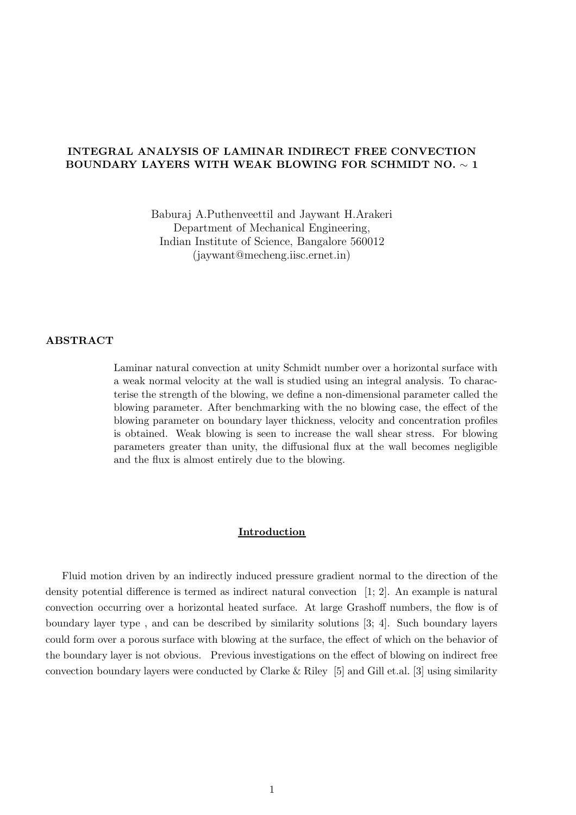# INTEGRAL ANALYSIS OF LAMINAR INDIRECT FREE CONVECTION BOUNDARY LAYERS WITH WEAK BLOWING FOR SCHMIDT NO. ∼ 1

Baburaj A.Puthenveettil and Jaywant H.Arakeri Department of Mechanical Engineering, Indian Institute of Science, Bangalore 560012 (jaywant@mecheng.iisc.ernet.in)

## ABSTRACT

Laminar natural convection at unity Schmidt number over a horizontal surface with a weak normal velocity at the wall is studied using an integral analysis. To characterise the strength of the blowing, we define a non-dimensional parameter called the blowing parameter. After benchmarking with the no blowing case, the effect of the blowing parameter on boundary layer thickness, velocity and concentration profiles is obtained. Weak blowing is seen to increase the wall shear stress. For blowing parameters greater than unity, the diffusional flux at the wall becomes negligible and the flux is almost entirely due to the blowing.

#### Introduction

Fluid motion driven by an indirectly induced pressure gradient normal to the direction of the density potential difference is termed as indirect natural convection [1; 2]. An example is natural convection occurring over a horizontal heated surface. At large Grashoff numbers, the flow is of boundary layer type , and can be described by similarity solutions [3; 4]. Such boundary layers could form over a porous surface with blowing at the surface, the effect of which on the behavior of the boundary layer is not obvious. Previous investigations on the effect of blowing on indirect free convection boundary layers were conducted by Clarke & Riley [5] and Gill et.al. [3] using similarity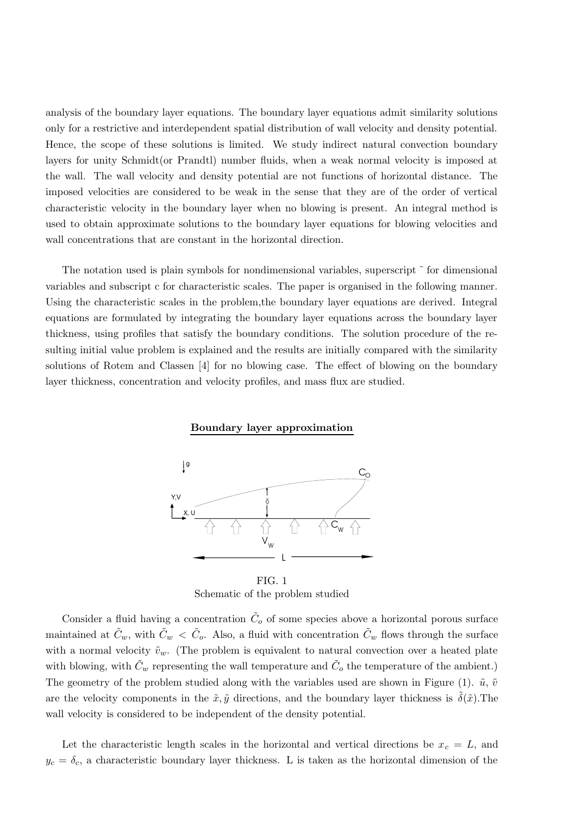analysis of the boundary layer equations. The boundary layer equations admit similarity solutions only for a restrictive and interdependent spatial distribution of wall velocity and density potential. Hence, the scope of these solutions is limited. We study indirect natural convection boundary layers for unity Schmidt(or Prandtl) number fluids, when a weak normal velocity is imposed at the wall. The wall velocity and density potential are not functions of horizontal distance. The imposed velocities are considered to be weak in the sense that they are of the order of vertical characteristic velocity in the boundary layer when no blowing is present. An integral method is used to obtain approximate solutions to the boundary layer equations for blowing velocities and wall concentrations that are constant in the horizontal direction.

The notation used is plain symbols for nondimensional variables, superscript  $\tilde{ }$  for dimensional variables and subscript c for characteristic scales. The paper is organised in the following manner. Using the characteristic scales in the problem,the boundary layer equations are derived. Integral equations are formulated by integrating the boundary layer equations across the boundary layer thickness, using profiles that satisfy the boundary conditions. The solution procedure of the resulting initial value problem is explained and the results are initially compared with the similarity solutions of Rotem and Classen [4] for no blowing case. The effect of blowing on the boundary layer thickness, concentration and velocity profiles, and mass flux are studied.

#### Boundary layer approximation



FIG. 1 Schematic of the problem studied

Consider a fluid having a concentration  $\tilde{C}_o$  of some species above a horizontal porous surface maintained at  $\tilde{C}_w$ , with  $\tilde{C}_w < \tilde{C}_o$ . Also, a fluid with concentration  $\tilde{C}_w$  flows through the surface with a normal velocity  $\tilde{v}_w$ . (The problem is equivalent to natural convection over a heated plate with blowing, with  $\tilde{C}_w$  representing the wall temperature and  $\tilde{C}_o$  the temperature of the ambient.) The geometry of the problem studied along with the variables used are shown in Figure (1).  $\tilde{u}, \tilde{v}$ are the velocity components in the  $\tilde{x}, \tilde{y}$  directions, and the boundary layer thickness is  $\delta(\tilde{x})$ . The wall velocity is considered to be independent of the density potential.

Let the characteristic length scales in the horizontal and vertical directions be  $x_c = L$ , and  $y_c = \delta_c$ , a characteristic boundary layer thickness. L is taken as the horizontal dimension of the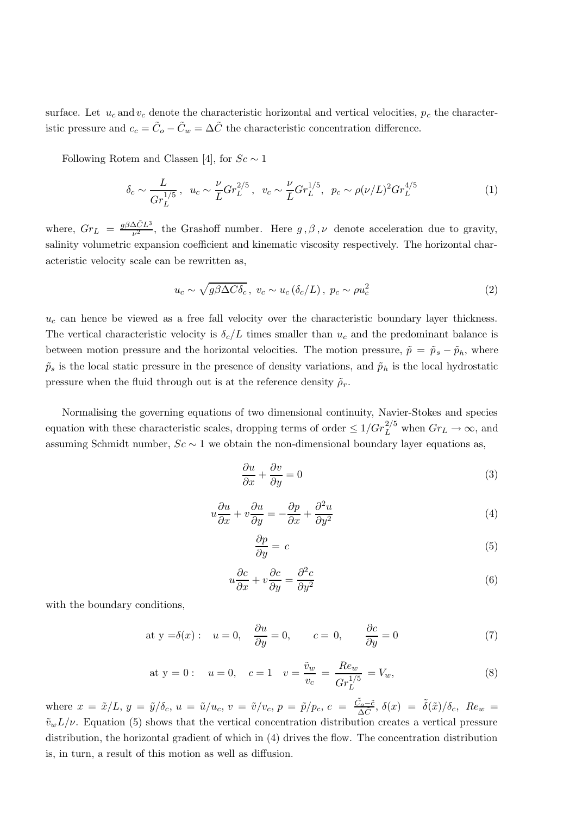surface. Let  $u_c$  and  $v_c$  denote the characteristic horizontal and vertical velocities,  $p_c$  the characteristic pressure and  $c_c = \tilde{C}_o - \tilde{C}_w = \Delta \tilde{C}$  the characteristic concentration difference.

Following Rotem and Classen [4], for  $Sc \sim 1$ 

$$
\delta_c \sim \frac{L}{Gr_L^{1/5}}, \ \ u_c \sim \frac{\nu}{L} Gr_L^{2/5}, \ \ v_c \sim \frac{\nu}{L} Gr_L^{1/5}, \ \ p_c \sim \rho(\nu/L)^2 Gr_L^{4/5}
$$
 (1)

where,  $Gr_L = \frac{g\beta\Delta\tilde{C}L^3}{\nu^2}$  $\frac{\Delta CL^{\nu}}{\nu^2}$ , the Grashoff number. Here  $g, \beta, \nu$  denote acceleration due to gravity, salinity volumetric expansion coefficient and kinematic viscosity respectively. The horizontal characteristic velocity scale can be rewritten as,

$$
u_c \sim \sqrt{g\beta \Delta C \delta_c}, \ v_c \sim u_c \left(\delta_c/L\right), \ p_c \sim \rho u_c^2 \tag{2}
$$

 $u_c$  can hence be viewed as a free fall velocity over the characteristic boundary layer thickness. The vertical characteristic velocity is  $\delta_c/L$  times smaller than  $u_c$  and the predominant balance is between motion pressure and the horizontal velocities. The motion pressure,  $\tilde{p} = \tilde{p}_s - \tilde{p}_h$ , where  $\tilde{p}_s$  is the local static pressure in the presence of density variations, and  $\tilde{p}_h$  is the local hydrostatic pressure when the fluid through out is at the reference density  $\tilde{\rho}_r$ .

Normalising the governing equations of two dimensional continuity, Navier-Stokes and species equation with these characteristic scales, dropping terms of order  $\leq 1/Gr_L^{2/5}$  when  $Gr_L \to \infty$ , and assuming Schmidt number,  $Sc \sim 1$  we obtain the non-dimensional boundary layer equations as,

$$
\frac{\partial u}{\partial x} + \frac{\partial v}{\partial y} = 0\tag{3}
$$

$$
u\frac{\partial u}{\partial x} + v\frac{\partial u}{\partial y} = -\frac{\partial p}{\partial x} + \frac{\partial^2 u}{\partial y^2}
$$
\n(4)

$$
\frac{\partial p}{\partial y} = c \tag{5}
$$

$$
u\frac{\partial c}{\partial x} + v\frac{\partial c}{\partial y} = \frac{\partial^2 c}{\partial y^2}
$$
 (6)

with the boundary conditions,

at 
$$
y = \delta(x)
$$
:  $u = 0$ ,  $\frac{\partial u}{\partial y} = 0$ ,  $c = 0$ ,  $\frac{\partial c}{\partial y} = 0$  (7)

at y = 0: 
$$
u = 0
$$
,  $c = 1$   $v = \frac{\tilde{v}_w}{v_c} = \frac{Re_w}{Gr_L^{1/5}} = V_w$ , (8)

where  $x = \tilde{x}/L$ ,  $y = \tilde{y}/\delta_c$ ,  $u = \tilde{u}/u_c$ ,  $v = \tilde{v}/v_c$ ,  $p = \tilde{p}/p_c$ ,  $c = \frac{\tilde{C_o} - \tilde{c}}{\Delta \tilde{C}}$  $\frac{\tilde{C}_o - \tilde{c}}{\Delta \tilde{C}}, \ \delta(x) = \tilde{\delta}(\tilde{x})/\delta_c, \ Re_w =$  $\tilde{v}_w L/\nu$ . Equation (5) shows that the vertical concentration distribution creates a vertical pressure distribution, the horizontal gradient of which in (4) drives the flow. The concentration distribution is, in turn, a result of this motion as well as diffusion.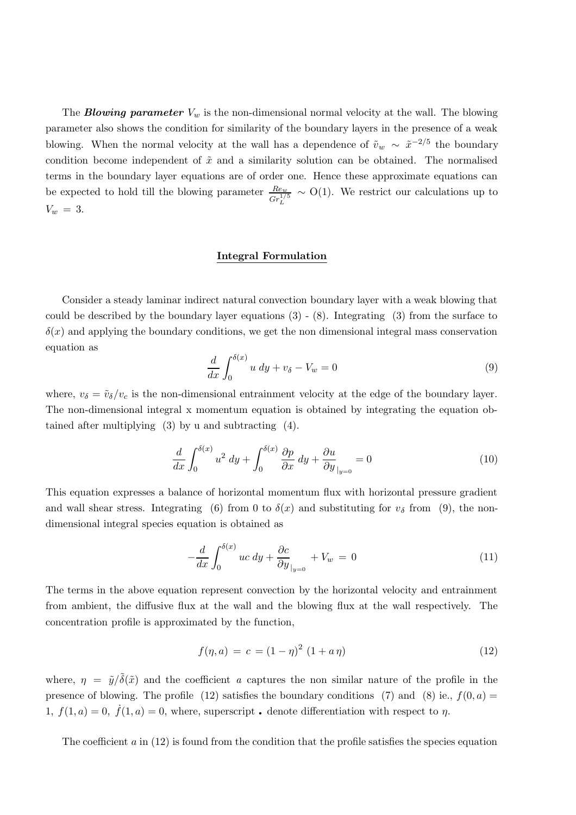The **Blowing parameter**  $V_w$  is the non-dimensional normal velocity at the wall. The blowing parameter also shows the condition for similarity of the boundary layers in the presence of a weak blowing. When the normal velocity at the wall has a dependence of  $\tilde{v}_w \sim \tilde{x}^{-2/5}$  the boundary condition become independent of  $\tilde{x}$  and a similarity solution can be obtained. The normalised terms in the boundary layer equations are of order one. Hence these approximate equations can be expected to hold till the blowing parameter  $\frac{Re_w}{Gr_L^{1/5}}$  $\sim$  O(1). We restrict our calculations up to  $V_w = 3$ .

#### Integral Formulation

Consider a steady laminar indirect natural convection boundary layer with a weak blowing that could be described by the boundary layer equations (3) - (8). Integrating (3) from the surface to  $\delta(x)$  and applying the boundary conditions, we get the non dimensional integral mass conservation equation as

$$
\frac{d}{dx} \int_0^{\delta(x)} u \, dy + v_\delta - V_w = 0 \tag{9}
$$

where,  $v_{\delta} = \tilde{v}_{\delta}/v_c$  is the non-dimensional entrainment velocity at the edge of the boundary layer. The non-dimensional integral x momentum equation is obtained by integrating the equation obtained after multiplying (3) by u and subtracting (4).

$$
\frac{d}{dx} \int_0^{\delta(x)} u^2 dy + \int_0^{\delta(x)} \frac{\partial p}{\partial x} dy + \frac{\partial u}{\partial y} \Big|_{y=0} = 0 \tag{10}
$$

This equation expresses a balance of horizontal momentum flux with horizontal pressure gradient and wall shear stress. Integrating (6) from 0 to  $\delta(x)$  and substituting for  $v_{\delta}$  from (9), the nondimensional integral species equation is obtained as

$$
-\frac{d}{dx}\int_0^{\delta(x)} uc \, dy + \frac{\partial c}{\partial y}\Big|_{y=0} + V_w = 0 \tag{11}
$$

The terms in the above equation represent convection by the horizontal velocity and entrainment from ambient, the diffusive flux at the wall and the blowing flux at the wall respectively. The concentration profile is approximated by the function,

$$
f(\eta, a) = c = (1 - \eta)^2 (1 + a\eta)
$$
\n(12)

where,  $\eta = \tilde{y}/\tilde{\delta}(\tilde{x})$  and the coefficient a captures the non similar nature of the profile in the presence of blowing. The profile (12) satisfies the boundary conditions (7) and (8) ie.,  $f(0, a)$  = presence of blowing. The profile (12) satisfies the boundary conditions (7) and (8) ie.<br>1,  $f(1,a) = 0$ ,  $\dot{f}(1,a) = 0$ , where, superscript. denote differentiation with respect to  $\eta$ .

The coefficient  $a$  in  $(12)$  is found from the condition that the profile satisfies the species equation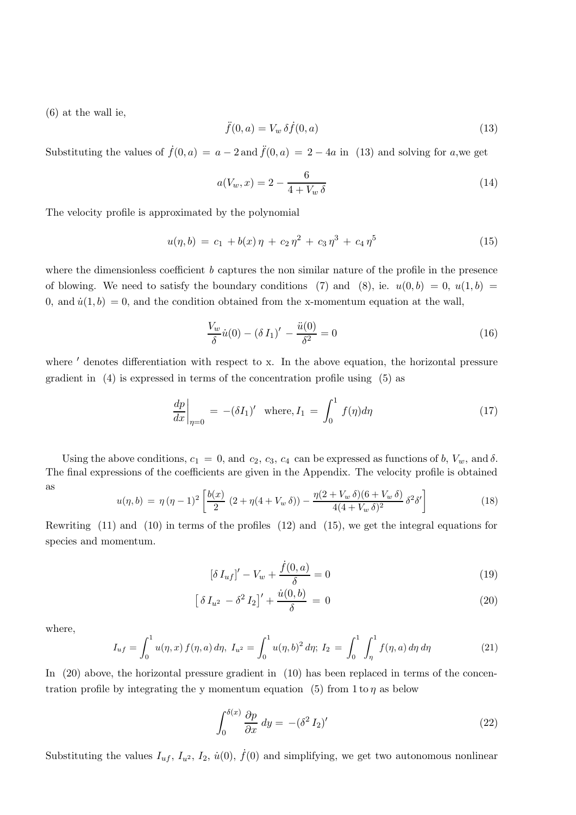(6) at the wall ie,

$$
\ddot{f}(0,a) = V_w \,\delta \dot{f}(0,a) \tag{13}
$$

Substituting the values of  $\dot{f}(0, a) = a - 2$  and  $\ddot{f}(0, a) = 2 - 4a$  in (13) and solving for a,we get

$$
a(V_w, x) = 2 - \frac{6}{4 + V_w \delta}
$$
\n(14)

The velocity profile is approximated by the polynomial

$$
u(\eta, b) = c_1 + b(x)\eta + c_2\eta^2 + c_3\eta^3 + c_4\eta^5 \tag{15}
$$

where the dimensionless coefficient  $b$  captures the non similar nature of the profile in the presence of blowing. We need to satisfy the boundary conditions (7) and (8), ie.  $u(0,b) = 0, u(1,b) =$ 0, and  $\dot{u}(1, b) = 0$ , and the condition obtained from the x-momentum equation at the wall,

$$
\frac{V_w}{\delta} \dot{u}(0) - (\delta I_1)' - \frac{\ddot{u}(0)}{\delta^2} = 0 \tag{16}
$$

where  $'$  denotes differentiation with respect to x. In the above equation, the horizontal pressure gradient in (4) is expressed in terms of the concentration profile using (5) as

$$
\left. \frac{dp}{dx} \right|_{\eta=0} = -(\delta I_1)' \quad \text{where, } I_1 = \int_0^1 f(\eta) d\eta \tag{17}
$$

Using the above conditions,  $c_1 = 0$ , and  $c_2$ ,  $c_3$ ,  $c_4$  can be expressed as functions of b,  $V_w$ , and  $\delta$ . The final expressions of the coefficients are given in the Appendix. The velocity profile is obtained as

$$
u(\eta, b) = \eta (\eta - 1)^2 \left[ \frac{b(x)}{2} (2 + \eta (4 + V_w \delta)) - \frac{\eta (2 + V_w \delta)(6 + V_w \delta)}{4(4 + V_w \delta)^2} \delta^2 \delta' \right]
$$
(18)

Rewriting (11) and (10) in terms of the profiles (12) and (15), we get the integral equations for species and momentum.

$$
[\delta I_{uf}]' - V_w + \frac{\dot{f}(0, a)}{\delta} = 0
$$
\n(19)

$$
\left[\delta I_{u^2} - \delta^2 I_2\right]' + \frac{\dot{u}(0, b)}{\delta} = 0\tag{20}
$$

where,

$$
I_{uf} = \int_0^1 u(\eta, x) f(\eta, a) d\eta, I_{u^2} = \int_0^1 u(\eta, b)^2 d\eta; I_2 = \int_0^1 \int_\eta^1 f(\eta, a) d\eta d\eta \tag{21}
$$

In (20) above, the horizontal pressure gradient in (10) has been replaced in terms of the concentration profile by integrating the y momentum equation (5) from 1 to  $\eta$  as below

$$
\int_0^{\delta(x)} \frac{\partial p}{\partial x} \, dy = -(\delta^2 I_2)'
$$
\n(22)

Substituting the values  $I_{uf}$ ,  $I_{u^2}$ ,  $I_2$ ,  $\dot{u}(0)$ ,  $\dot{f}(0)$  and simplifying, we get two autonomous nonlinear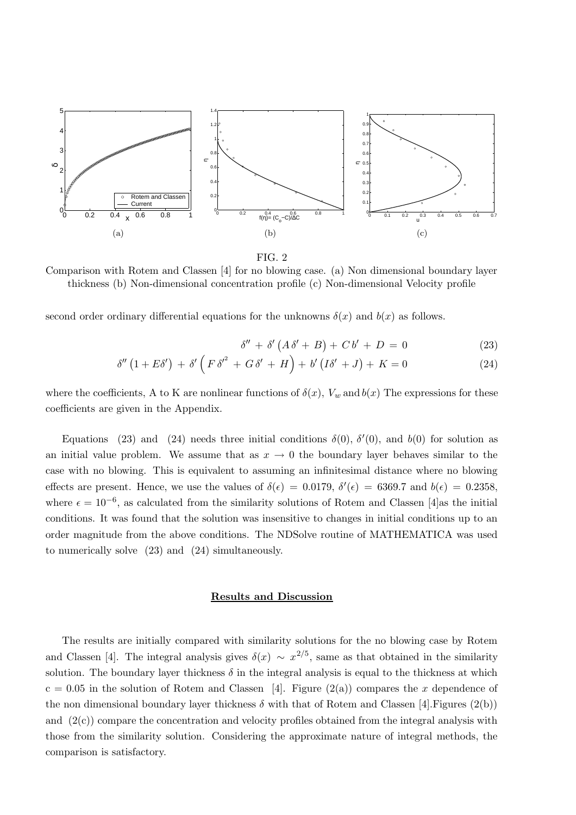

FIG. 2

Comparison with Rotem and Classen [4] for no blowing case. (a) Non dimensional boundary layer thickness (b) Non-dimensional concentration profile (c) Non-dimensional Velocity profile

second order ordinary differential equations for the unknowns  $\delta(x)$  and  $b(x)$  as follows.

$$
\delta'' + \delta' (A\delta' + B) + Cb' + D = 0 \tag{23}
$$

$$
\delta''\left(1+E\delta'\right) + \delta'\left(F\delta'^2 + G\delta' + H\right) + b'\left(I\delta' + J\right) + K = 0\tag{24}
$$

where the coefficients, A to K are nonlinear functions of  $\delta(x)$ ,  $V_w$  and  $b(x)$  The expressions for these coefficients are given in the Appendix.

Equations (23) and (24) needs three initial conditions  $\delta(0)$ ,  $\delta'(0)$ , and  $b(0)$  for solution as an initial value problem. We assume that as  $x \to 0$  the boundary layer behaves similar to the case with no blowing. This is equivalent to assuming an infinitesimal distance where no blowing effects are present. Hence, we use the values of  $\delta(\epsilon) = 0.0179$ ,  $\delta'(\epsilon) = 6369.7$  and  $b(\epsilon) = 0.2358$ , where  $\epsilon = 10^{-6}$ , as calculated from the similarity solutions of Rotem and Classen [4]as the initial conditions. It was found that the solution was insensitive to changes in initial conditions up to an order magnitude from the above conditions. The NDSolve routine of MATHEMATICA was used to numerically solve (23) and (24) simultaneously.

## Results and Discussion

The results are initially compared with similarity solutions for the no blowing case by Rotem and Classen [4]. The integral analysis gives  $\delta(x) \sim x^{2/5}$ , same as that obtained in the similarity solution. The boundary layer thickness  $\delta$  in the integral analysis is equal to the thickness at which  $c = 0.05$  in the solution of Rotem and Classen [4]. Figure (2(a)) compares the x dependence of the non dimensional boundary layer thickness  $\delta$  with that of Rotem and Classen [4]. Figures (2(b)) and  $(2(c))$  compare the concentration and velocity profiles obtained from the integral analysis with those from the similarity solution. Considering the approximate nature of integral methods, the comparison is satisfactory.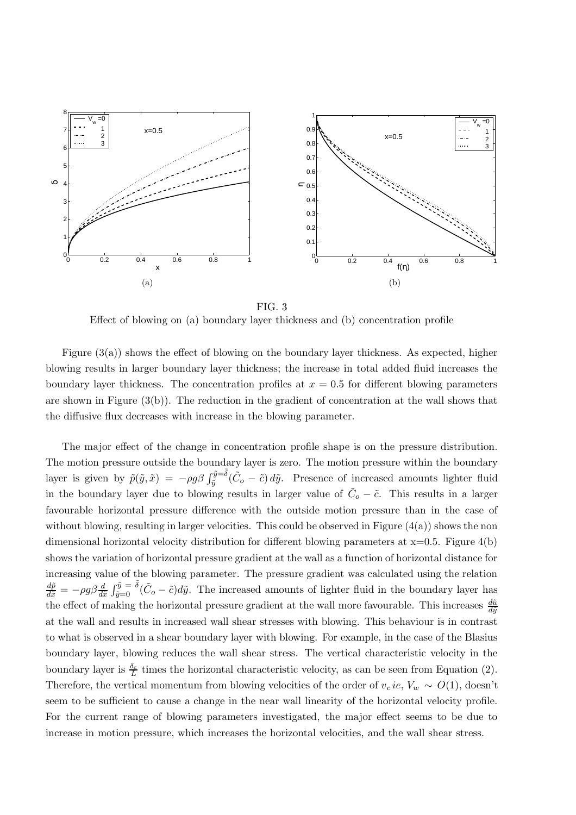



Effect of blowing on (a) boundary layer thickness and (b) concentration profile

Figure  $(3(a))$  shows the effect of blowing on the boundary layer thickness. As expected, higher blowing results in larger boundary layer thickness; the increase in total added fluid increases the boundary layer thickness. The concentration profiles at  $x = 0.5$  for different blowing parameters are shown in Figure  $(3(b))$ . The reduction in the gradient of concentration at the wall shows that the diffusive flux decreases with increase in the blowing parameter.

The major effect of the change in concentration profile shape is on the pressure distribution. The motion pressure outside the boundary layer is zero. The motion pressure within the boundary layer is given by  $\tilde{p}(\tilde{y}, \tilde{x}) = -\rho g \beta \int_{\tilde{y}}^{\tilde{y}=\tilde{\delta}} (\tilde{C}_o - \tilde{c}) d\tilde{y}$ . Presence of increased amounts lighter fluid in the boundary layer due to blowing results in larger value of  $\tilde{C}_o - \tilde{c}$ . This results in a larger favourable horizontal pressure difference with the outside motion pressure than in the case of without blowing, resulting in larger velocities. This could be observed in Figure  $(4(a))$  shows the non dimensional horizontal velocity distribution for different blowing parameters at  $x=0.5$ . Figure 4(b) shows the variation of horizontal pressure gradient at the wall as a function of horizontal distance for increasing value of the blowing parameter. The pressure gradient was calculated using the relation  $\frac{d\tilde{p}}{d\tilde{x}} = -\rho g \beta \frac{d}{d\tilde{x}} \int_{\tilde{y}=0}^{\tilde{y}} \tilde{\delta}(\tilde{C}_o - \tilde{c}) d\tilde{y}$ . The increased amounts of lighter fluid in the boundary layer has the effect of making the horizontal pressure gradient at the wall more favourable. This increases  $\frac{d\tilde{u}}{d\tilde{y}}$ at the wall and results in increased wall shear stresses with blowing. This behaviour is in contrast to what is observed in a shear boundary layer with blowing. For example, in the case of the Blasius boundary layer, blowing reduces the wall shear stress. The vertical characteristic velocity in the boundary layer is  $\frac{\delta_c}{L}$  times the horizontal characteristic velocity, as can be seen from Equation (2). Therefore, the vertical momentum from blowing velocities of the order of  $v_c$  ie,  $V_w \sim O(1)$ , doesn't seem to be sufficient to cause a change in the near wall linearity of the horizontal velocity profile. For the current range of blowing parameters investigated, the major effect seems to be due to increase in motion pressure, which increases the horizontal velocities, and the wall shear stress.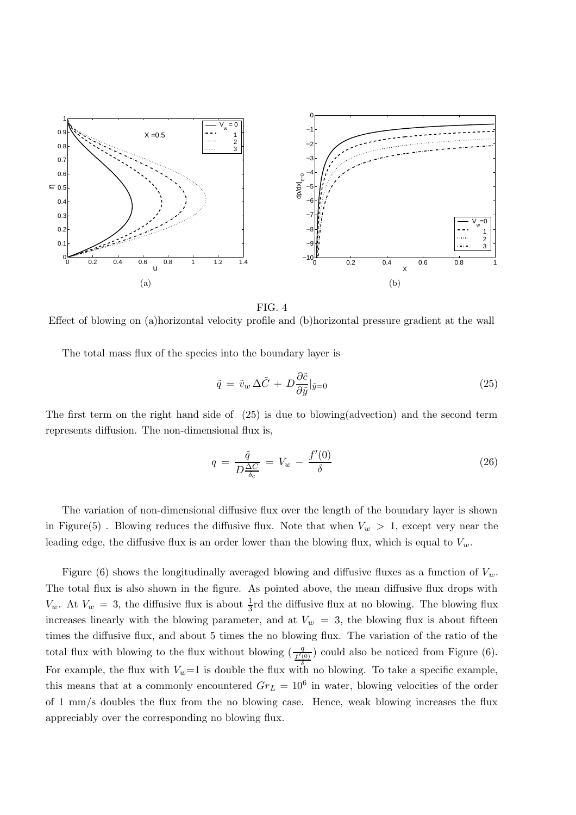

FIG. 4

Effect of blowing on (a)horizontal velocity profile and (b)horizontal pressure gradient at the wall

The total mass flux of the species into the boundary layer is

$$
\tilde{q} = \tilde{v}_w \,\Delta \tilde{C} + D \frac{\partial \tilde{c}}{\partial \tilde{y}} |_{\tilde{y}=0} \tag{25}
$$

The first term on the right hand side of (25) is due to blowing(advection) and the second term represents diffusion. The non-dimensional flux is,

$$
q = \frac{\tilde{q}}{D\frac{\Delta C}{\delta_c}} = V_w - \frac{f'(0)}{\delta} \tag{26}
$$

The variation of non-dimensional diffusive flux over the length of the boundary layer is shown in Figure(5). Blowing reduces the diffusive flux. Note that when  $V_w > 1$ , except very near the leading edge, the diffusive flux is an order lower than the blowing flux, which is equal to  $V_w$ .

Figure (6) shows the longitudinally averaged blowing and diffusive fluxes as a function of  $V_w$ . The total flux is also shown in the figure. As pointed above, the mean diffusive flux drops with  $V_w$ . At  $V_w = 3$ , the diffusive flux is about  $\frac{1}{3}$ rd the diffusive flux at no blowing. The blowing flux increases linearly with the blowing parameter, and at  $V_w = 3$ , the blowing flux is about fifteen times the diffusive flux, and about 5 times the no blowing flux. The variation of the ratio of the total flux with blowing to the flux without blowing  $\left(\frac{q}{f'(0)}\right)$  could also be noticed from Figure (6). For example, the flux with  $V_w=1$  is double the flux with no blowing. To take a specific example, this means that at a commonly encountered  $Gr_L = 10^6$  in water, blowing velocities of the order of 1 mm/s doubles the flux from the no blowing case. Hence, weak blowing increases the flux appreciably over the corresponding no blowing flux.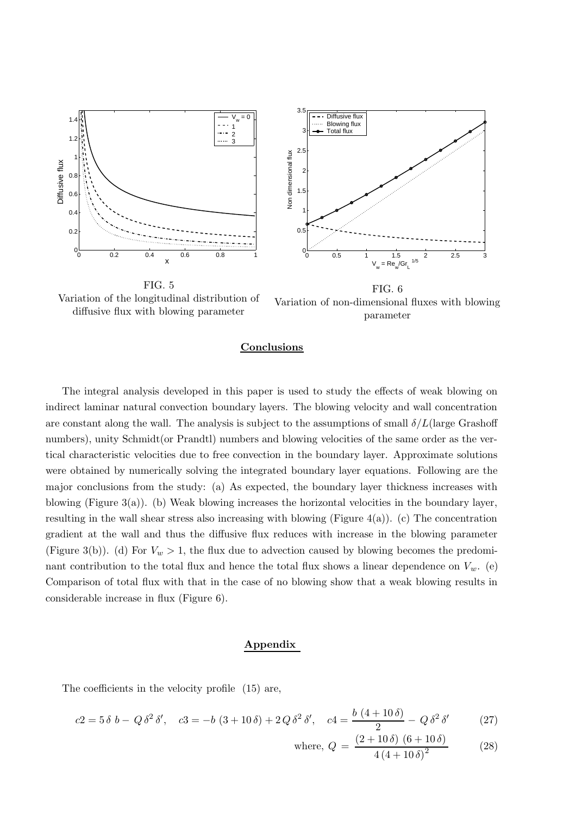

Variation of the longitudinal distribution of diffusive flux with blowing parameter

FIG. 6 Variation of non-dimensional fluxes with blowing parameter

## **Conclusions**

The integral analysis developed in this paper is used to study the effects of weak blowing on indirect laminar natural convection boundary layers. The blowing velocity and wall concentration are constant along the wall. The analysis is subject to the assumptions of small  $\delta/L$  (large Grashoff numbers), unity Schmidt (or Prandt) numbers and blowing velocities of the same order as the vertical characteristic velocities due to free convection in the boundary layer. Approximate solutions were obtained by numerically solving the integrated boundary layer equations. Following are the major conclusions from the study: (a) As expected, the boundary layer thickness increases with blowing (Figure 3(a)). (b) Weak blowing increases the horizontal velocities in the boundary layer, resulting in the wall shear stress also increasing with blowing (Figure  $4(a)$ ). (c) The concentration gradient at the wall and thus the diffusive flux reduces with increase in the blowing parameter (Figure 3(b)). (d) For  $V_w > 1$ , the flux due to advection caused by blowing becomes the predominant contribution to the total flux and hence the total flux shows a linear dependence on  $V_w$ . (e) Comparison of total flux with that in the case of no blowing show that a weak blowing results in considerable increase in flux (Figure 6).

#### Appendix

The coefficients in the velocity profile (15) are,

$$
c2 = 5 \delta b - Q \delta^{2} \delta', \quad c3 = -b (3 + 10 \delta) + 2 Q \delta^{2} \delta', \quad c4 = \frac{b (4 + 10 \delta)}{2} - Q \delta^{2} \delta'
$$
 (27)

where, 
$$
Q = \frac{(2+10\,\delta)(6+10\,\delta)}{4(4+10\,\delta)^2}
$$
 (28)